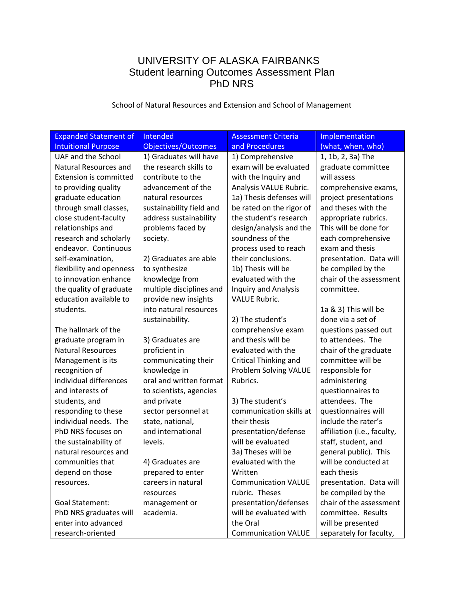# UNIVERSITY OF ALASKA FAIRBANKS Student learning Outcomes Assessment Plan PhD NRS

School of Natural Resources and Extension and School of Management

| <b>Expanded Statement of</b>  | Intended                 | <b>Assessment Criteria</b>   | Implementation              |
|-------------------------------|--------------------------|------------------------------|-----------------------------|
| <b>Intuitional Purpose</b>    | Objectives/Outcomes      | and Procedures               | (what, when, who)           |
| UAF and the School            | 1) Graduates will have   | 1) Comprehensive             | 1, 1b, 2, 3a) The           |
| Natural Resources and         | the research skills to   | exam will be evaluated       | graduate committee          |
| <b>Extension is committed</b> | contribute to the        | with the Inquiry and         | will assess                 |
| to providing quality          | advancement of the       | Analysis VALUE Rubric.       | comprehensive exams,        |
| graduate education            | natural resources        | 1a) Thesis defenses will     | project presentations       |
| through small classes,        | sustainability field and | be rated on the rigor of     | and theses with the         |
| close student-faculty         | address sustainability   | the student's research       | appropriate rubrics.        |
| relationships and             | problems faced by        | design/analysis and the      | This will be done for       |
| research and scholarly        | society.                 | soundness of the             | each comprehensive          |
| endeavor. Continuous          |                          | process used to reach        | exam and thesis             |
| self-examination,             | 2) Graduates are able    | their conclusions.           | presentation. Data will     |
| flexibility and openness      | to synthesize            | 1b) Thesis will be           | be compiled by the          |
| to innovation enhance         | knowledge from           | evaluated with the           | chair of the assessment     |
| the quality of graduate       | multiple disciplines and | <b>Inquiry and Analysis</b>  | committee.                  |
| education available to        | provide new insights     | <b>VALUE Rubric.</b>         |                             |
| students.                     | into natural resources   |                              | 1a & 3) This will be        |
|                               | sustainability.          | 2) The student's             | done via a set of           |
| The hallmark of the           |                          | comprehensive exam           | questions passed out        |
| graduate program in           | 3) Graduates are         | and thesis will be           | to attendees. The           |
| <b>Natural Resources</b>      | proficient in            | evaluated with the           | chair of the graduate       |
| Management is its             | communicating their      | <b>Critical Thinking and</b> | committee will be           |
| recognition of                | knowledge in             | Problem Solving VALUE        | responsible for             |
| individual differences        | oral and written format  | Rubrics.                     | administering               |
| and interests of              | to scientists, agencies  |                              | questionnaires to           |
| students, and                 | and private              | 3) The student's             | attendees. The              |
| responding to these           | sector personnel at      | communication skills at      | questionnaires will         |
| individual needs. The         | state, national,         | their thesis                 | include the rater's         |
| PhD NRS focuses on            | and international        | presentation/defense         | affiliation (i.e., faculty, |
| the sustainability of         | levels.                  | will be evaluated            | staff, student, and         |
| natural resources and         |                          | 3a) Theses will be           | general public). This       |
| communities that              | 4) Graduates are         | evaluated with the           | will be conducted at        |
| depend on those               | prepared to enter        | Written                      | each thesis                 |
| resources.                    | careers in natural       | <b>Communication VALUE</b>   | presentation. Data will     |
|                               | resources                | rubric. Theses               | be compiled by the          |
| <b>Goal Statement:</b>        | management or            | presentation/defenses        | chair of the assessment     |
| PhD NRS graduates will        | academia.                | will be evaluated with       | committee. Results          |
| enter into advanced           |                          | the Oral                     | will be presented           |
| research-oriented             |                          | <b>Communication VALUE</b>   | separately for faculty,     |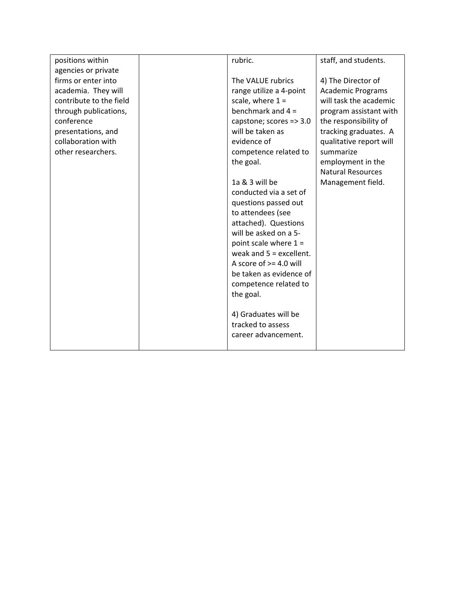| positions within        | rubric.                   | staff, and students.     |
|-------------------------|---------------------------|--------------------------|
| agencies or private     |                           |                          |
| firms or enter into     | The VALUE rubrics         | 4) The Director of       |
| academia. They will     | range utilize a 4-point   | <b>Academic Programs</b> |
| contribute to the field | scale, where $1 =$        | will task the academic   |
| through publications,   | benchmark and $4 =$       | program assistant with   |
| conference              | capstone; scores => 3.0   | the responsibility of    |
| presentations, and      | will be taken as          | tracking graduates. A    |
| collaboration with      | evidence of               | qualitative report will  |
| other researchers.      | competence related to     | summarize                |
|                         | the goal.                 | employment in the        |
|                         |                           | <b>Natural Resources</b> |
|                         | 1a & 3 will be            | Management field.        |
|                         | conducted via a set of    |                          |
|                         | questions passed out      |                          |
|                         | to attendees (see         |                          |
|                         | attached). Questions      |                          |
|                         | will be asked on a 5-     |                          |
|                         | point scale where $1 =$   |                          |
|                         | weak and $5 =$ excellent. |                          |
|                         | A score of $>=$ 4.0 will  |                          |
|                         | be taken as evidence of   |                          |
|                         | competence related to     |                          |
|                         | the goal.                 |                          |
|                         |                           |                          |
|                         | 4) Graduates will be      |                          |
|                         | tracked to assess         |                          |
|                         | career advancement.       |                          |
|                         |                           |                          |